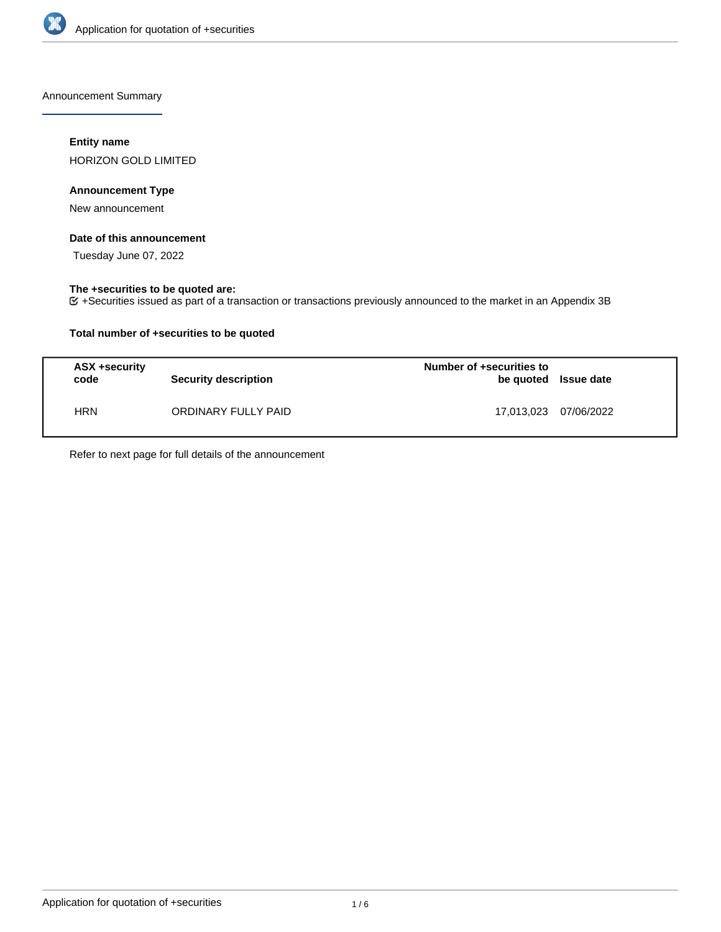

Announcement Summary

## **Entity name**

HORIZON GOLD LIMITED

## **Announcement Type**

New announcement

## **Date of this announcement**

Tuesday June 07, 2022

## **The +securities to be quoted are:**

+Securities issued as part of a transaction or transactions previously announced to the market in an Appendix 3B

## **Total number of +securities to be quoted**

| ASX +security<br>code | Security description | Number of +securities to<br>be quoted Issue date |            |
|-----------------------|----------------------|--------------------------------------------------|------------|
| HRN                   | ORDINARY FULLY PAID  | 17,013,023                                       | 07/06/2022 |

Refer to next page for full details of the announcement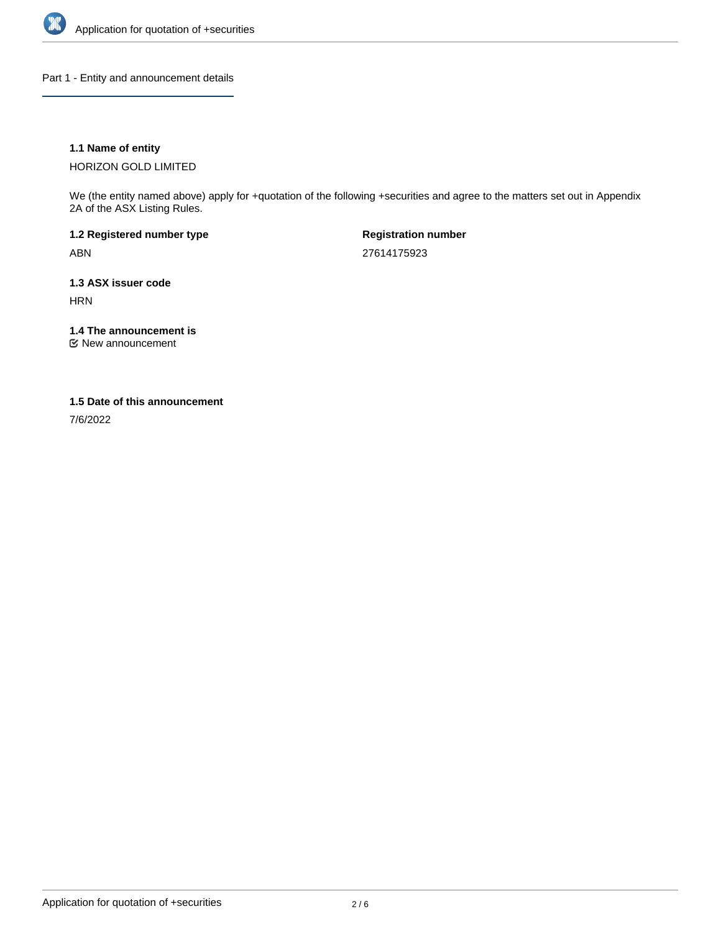

Part 1 - Entity and announcement details

## **1.1 Name of entity**

HORIZON GOLD LIMITED

We (the entity named above) apply for +quotation of the following +securities and agree to the matters set out in Appendix 2A of the ASX Listing Rules.

**1.2 Registered number type** ABN

**Registration number** 27614175923

**1.3 ASX issuer code** HRN

**1.4 The announcement is**

New announcement

#### **1.5 Date of this announcement**

7/6/2022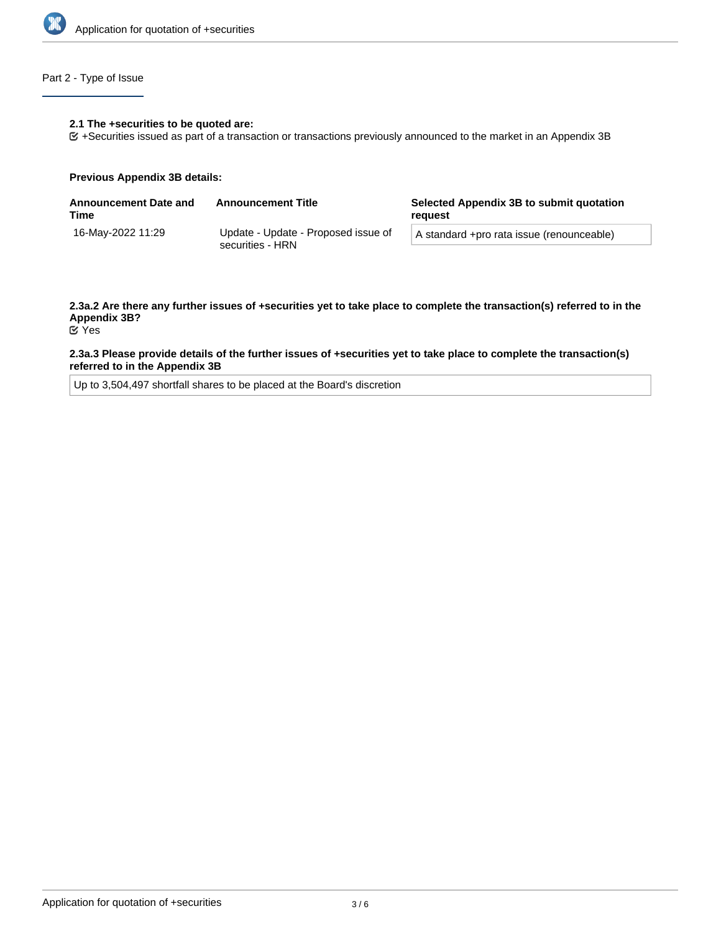

## Part 2 - Type of Issue

#### **2.1 The +securities to be quoted are:**

+Securities issued as part of a transaction or transactions previously announced to the market in an Appendix 3B

#### **Previous Appendix 3B details:**

| <b>Announcement Date and</b><br>Time | <b>Announcement Title</b>                               | Selected Appendix 3B to submit quotation<br>reauest |
|--------------------------------------|---------------------------------------------------------|-----------------------------------------------------|
| 16-Mav-2022 11:29                    | Update - Update - Proposed issue of<br>securities - HRN | A standard +pro rata issue (renounceable)           |
|                                      |                                                         |                                                     |

# **2.3a.2 Are there any further issues of +securities yet to take place to complete the transaction(s) referred to in the Appendix 3B?**

Yes

#### **2.3a.3 Please provide details of the further issues of +securities yet to take place to complete the transaction(s) referred to in the Appendix 3B**

Up to 3,504,497 shortfall shares to be placed at the Board's discretion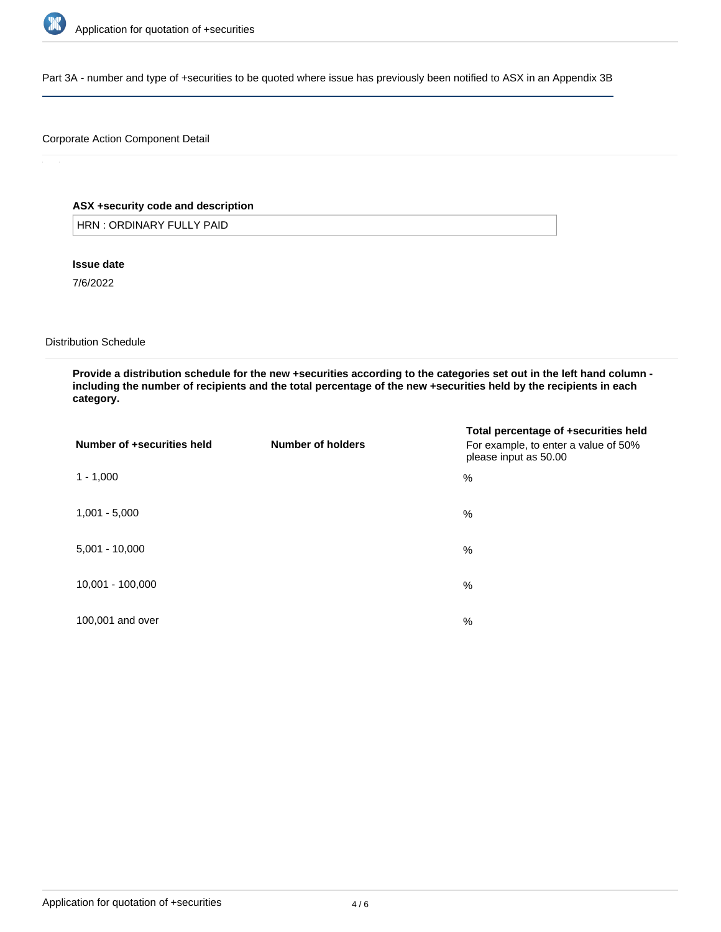

Part 3A - number and type of +securities to be quoted where issue has previously been notified to ASX in an Appendix 3B

## Corporate Action Component Detail

## **ASX +security code and description**

HRN : ORDINARY FULLY PAID

**Issue date**

7/6/2022

Distribution Schedule

**Provide a distribution schedule for the new +securities according to the categories set out in the left hand column including the number of recipients and the total percentage of the new +securities held by the recipients in each category.**

| Number of +securities held | Number of holders | Total percentage of +securities held<br>For example, to enter a value of 50%<br>please input as 50.00 |
|----------------------------|-------------------|-------------------------------------------------------------------------------------------------------|
| $1 - 1,000$                |                   | %                                                                                                     |
| $1,001 - 5,000$            |                   | %                                                                                                     |
| $5,001 - 10,000$           |                   | %                                                                                                     |
| 10,001 - 100,000           |                   | %                                                                                                     |
| 100,001 and over           |                   | %                                                                                                     |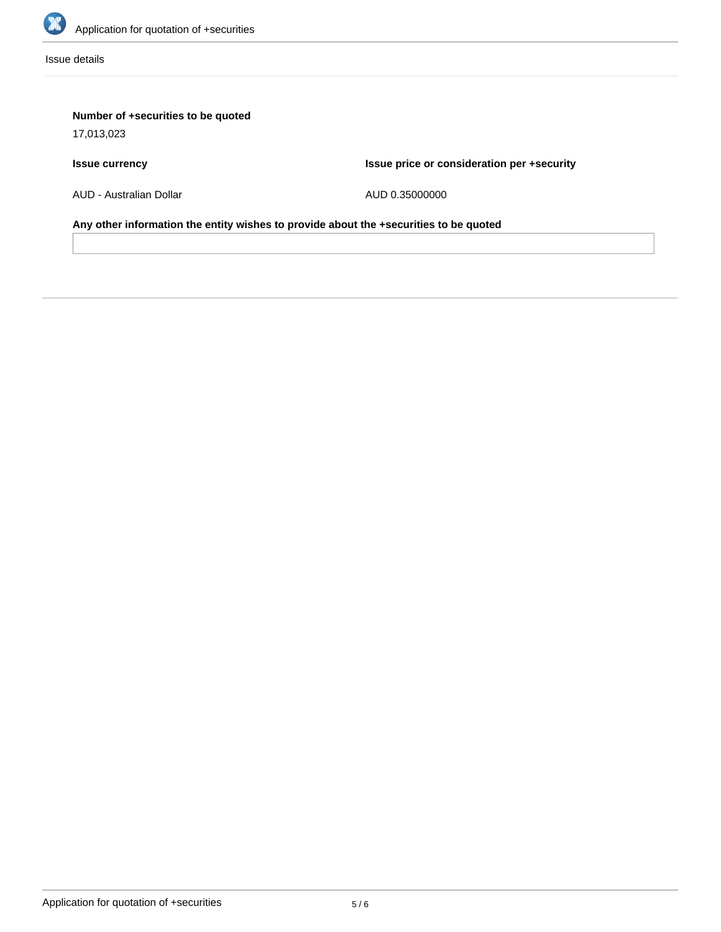

Issue details

## **Number of +securities to be quoted**

17,013,023

## **Issue currency**

**Issue price or consideration per +security**

AUD - Australian Dollar

AUD 0.35000000

**Any other information the entity wishes to provide about the +securities to be quoted**